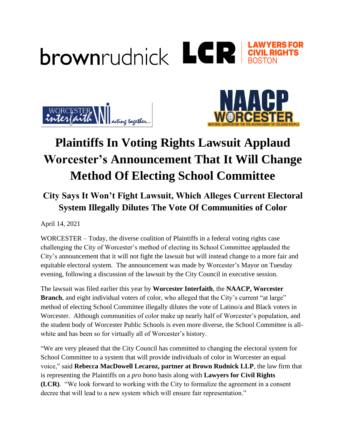





## **Plaintiffs In Voting Rights Lawsuit Applaud Worcester's Announcement That It Will Change Method Of Electing School Committee**

## **City Says It Won't Fight Lawsuit, Which Alleges Current Electoral System Illegally Dilutes The Vote Of Communities of Color**

April 14, 2021

WORCESTER – Today, the diverse coalition of Plaintiffs in a federal voting rights case challenging the City of Worcester's method of electing its School Committee applauded the City's announcement that it will not fight the lawsuit but will instead change to a more fair and equitable electoral system. The announcement was made by Worcester's Mayor on Tuesday evening, following a discussion of the lawsuit by the City Council in executive session.

The lawsuit was filed earlier this year by **Worcester Interfaith**, the **NAACP, Worcester Branch**, and eight individual voters of color, who alleged that the City's current "at large" method of electing School Committee illegally dilutes the vote of Latino/a and Black voters in Worcester. Although communities of color make up nearly half of Worcester's population, and the student body of Worcester Public Schools is even more diverse, the School Committee is allwhite and has been so for virtually all of Worcester's history.

"We are very pleased that the City Council has committed to changing the electoral system for School Committee to a system that will provide individuals of color in Worcester an equal voice," said **Rebecca MacDowell Lecaroz, partner at Brown Rudnick LLP**, the law firm that is representing the Plaintiffs on a *pro bono* basis along with **Lawyers for Civil Rights (LCR)**. "We look forward to working with the City to formalize the agreement in a consent decree that will lead to a new system which will ensure fair representation."